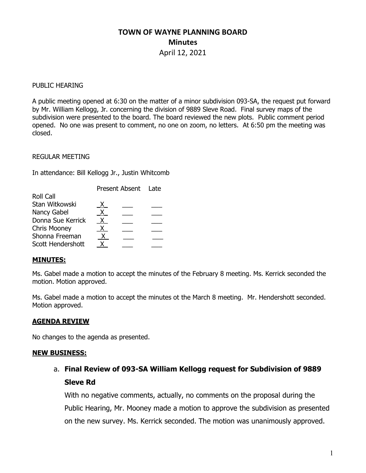# TOWN OF WAYNE PLANNING BOARD **Minutes** April 12, 2021

#### PUBLIC HEARING

A public meeting opened at 6:30 on the matter of a minor subdivision 093-SA, the request put forward by Mr. William Kellogg, Jr. concerning the division of 9889 Sleve Road. Final survey maps of the subdivision were presented to the board. The board reviewed the new plots. Public comment period opened. No one was present to comment, no one on zoom, no letters. At 6:50 pm the meeting was closed.

#### REGULAR MEETING

In attendance: Bill Kellogg Jr., Justin Whitcomb

|                     | Present Absent Late |  |  |
|---------------------|---------------------|--|--|
| <b>Roll Call</b>    |                     |  |  |
| Stan Witkowski      |                     |  |  |
| Nancy Gabel         |                     |  |  |
| Donna Sue Kerrick   |                     |  |  |
| <b>Chris Mooney</b> |                     |  |  |
| Shonna Freeman      |                     |  |  |
| Scott Hendershott   |                     |  |  |
|                     |                     |  |  |

#### MINUTES:

Ms. Gabel made a motion to accept the minutes of the February 8 meeting. Ms. Kerrick seconded the motion. Motion approved.

Ms. Gabel made a motion to accept the minutes ot the March 8 meeting. Mr. Hendershott seconded. Motion approved.

#### AGENDA REVIEW

No changes to the agenda as presented.

#### NEW BUSINESS:

a. Final Review of 093-SA William Kellogg request for Subdivision of 9889 Sleve Rd

With no negative comments, actually, no comments on the proposal during the Public Hearing, Mr. Mooney made a motion to approve the subdivision as presented on the new survey. Ms. Kerrick seconded. The motion was unanimously approved.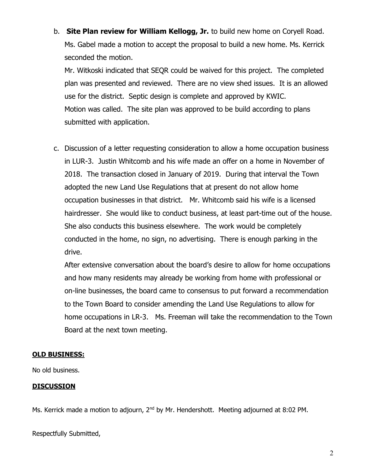b. Site Plan review for William Kellogg, Jr. to build new home on Coryell Road. Ms. Gabel made a motion to accept the proposal to build a new home. Ms. Kerrick seconded the motion.

Mr. Witkoski indicated that SEQR could be waived for this project. The completed plan was presented and reviewed. There are no view shed issues. It is an allowed use for the district. Septic design is complete and approved by KWIC. Motion was called. The site plan was approved to be build according to plans submitted with application.

c. Discussion of a letter requesting consideration to allow a home occupation business in LUR-3. Justin Whitcomb and his wife made an offer on a home in November of 2018. The transaction closed in January of 2019. During that interval the Town adopted the new Land Use Regulations that at present do not allow home occupation businesses in that district. Mr. Whitcomb said his wife is a licensed hairdresser. She would like to conduct business, at least part-time out of the house. She also conducts this business elsewhere. The work would be completely conducted in the home, no sign, no advertising. There is enough parking in the drive.

After extensive conversation about the board's desire to allow for home occupations and how many residents may already be working from home with professional or on-line businesses, the board came to consensus to put forward a recommendation to the Town Board to consider amending the Land Use Regulations to allow for home occupations in LR-3. Ms. Freeman will take the recommendation to the Town Board at the next town meeting.

### OLD BUSINESS:

No old business.

## DISCUSSION

Ms. Kerrick made a motion to adjourn, 2<sup>nd</sup> by Mr. Hendershott. Meeting adjourned at 8:02 PM.

Respectfully Submitted,